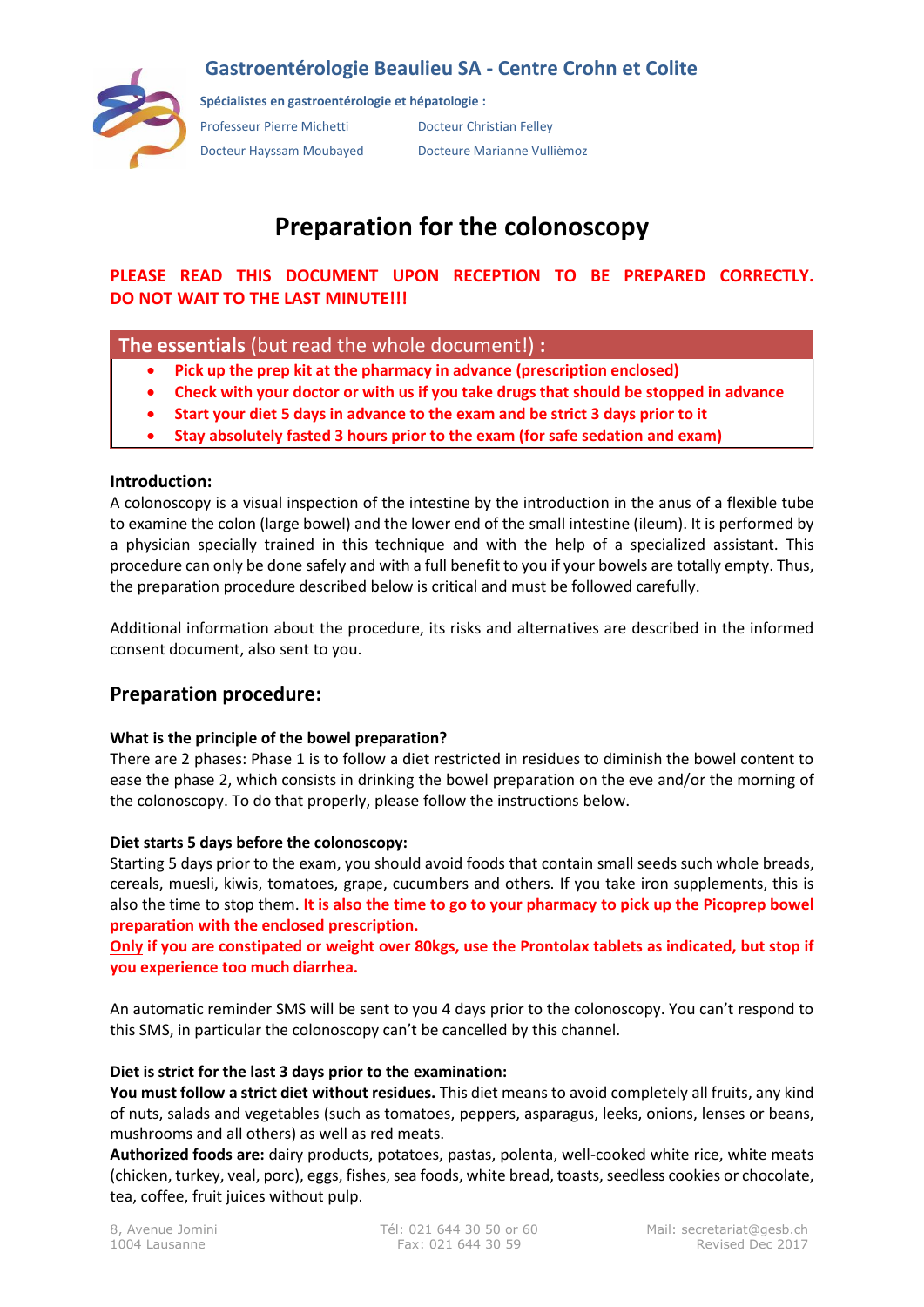## **Gastroentérologie Beaulieu SA - Centre Crohn et Colite**



**Spécialistes en gastroentérologie et hépatologie :**

Professeur Pierre Michetti Docteur Christian Felley Docteur Hayssam Moubayed Docteure Marianne Vullièmoz

# **Preparation for the colonoscopy**

**PLEASE READ THIS DOCUMENT UPON RECEPTION TO BE PREPARED CORRECTLY. DO NOT WAIT TO THE LAST MINUTE!!!**

### **The essentials** (but read the whole document!) **:**

- **Pick up the prep kit at the pharmacy in advance (prescription enclosed)**
- **Check with your doctor or with us if you take drugs that should be stopped in advance**
- **Start your diet 5 days in advance to the exam and be strict 3 days prior to it**
- **Stay absolutely fasted 3 hours prior to the exam (for safe sedation and exam)**

#### **Introduction:**

A colonoscopy is a visual inspection of the intestine by the introduction in the anus of a flexible tube to examine the colon (large bowel) and the lower end of the small intestine (ileum). It is performed by a physician specially trained in this technique and with the help of a specialized assistant. This procedure can only be done safely and with a full benefit to you if your bowels are totally empty. Thus, the preparation procedure described below is critical and must be followed carefully.

Additional information about the procedure, its risks and alternatives are described in the informed consent document, also sent to you.

## **Preparation procedure:**

#### **What is the principle of the bowel preparation?**

There are 2 phases: Phase 1 is to follow a diet restricted in residues to diminish the bowel content to ease the phase 2, which consists in drinking the bowel preparation on the eve and/or the morning of the colonoscopy. To do that properly, please follow the instructions below.

#### **Diet starts 5 days before the colonoscopy:**

Starting 5 days prior to the exam, you should avoid foods that contain small seeds such whole breads, cereals, muesli, kiwis, tomatoes, grape, cucumbers and others. If you take iron supplements, this is also the time to stop them. **It is also the time to go to your pharmacy to pick up the Picoprep bowel preparation with the enclosed prescription.**

#### **Only if you are constipated or weight over 80kgs, use the Prontolax tablets as indicated, but stop if you experience too much diarrhea.**

An automatic reminder SMS will be sent to you 4 days prior to the colonoscopy. You can't respond to this SMS, in particular the colonoscopy can't be cancelled by this channel.

#### **Diet is strict for the last 3 days prior to the examination:**

**You must follow a strict diet without residues.** This diet means to avoid completely all fruits, any kind of nuts, salads and vegetables (such as tomatoes, peppers, asparagus, leeks, onions, lenses or beans, mushrooms and all others) as well as red meats.

**Authorized foods are:** dairy products, potatoes, pastas, polenta, well-cooked white rice, white meats (chicken, turkey, veal, porc), eggs, fishes, sea foods, white bread, toasts, seedless cookies or chocolate, tea, coffee, fruit juices without pulp.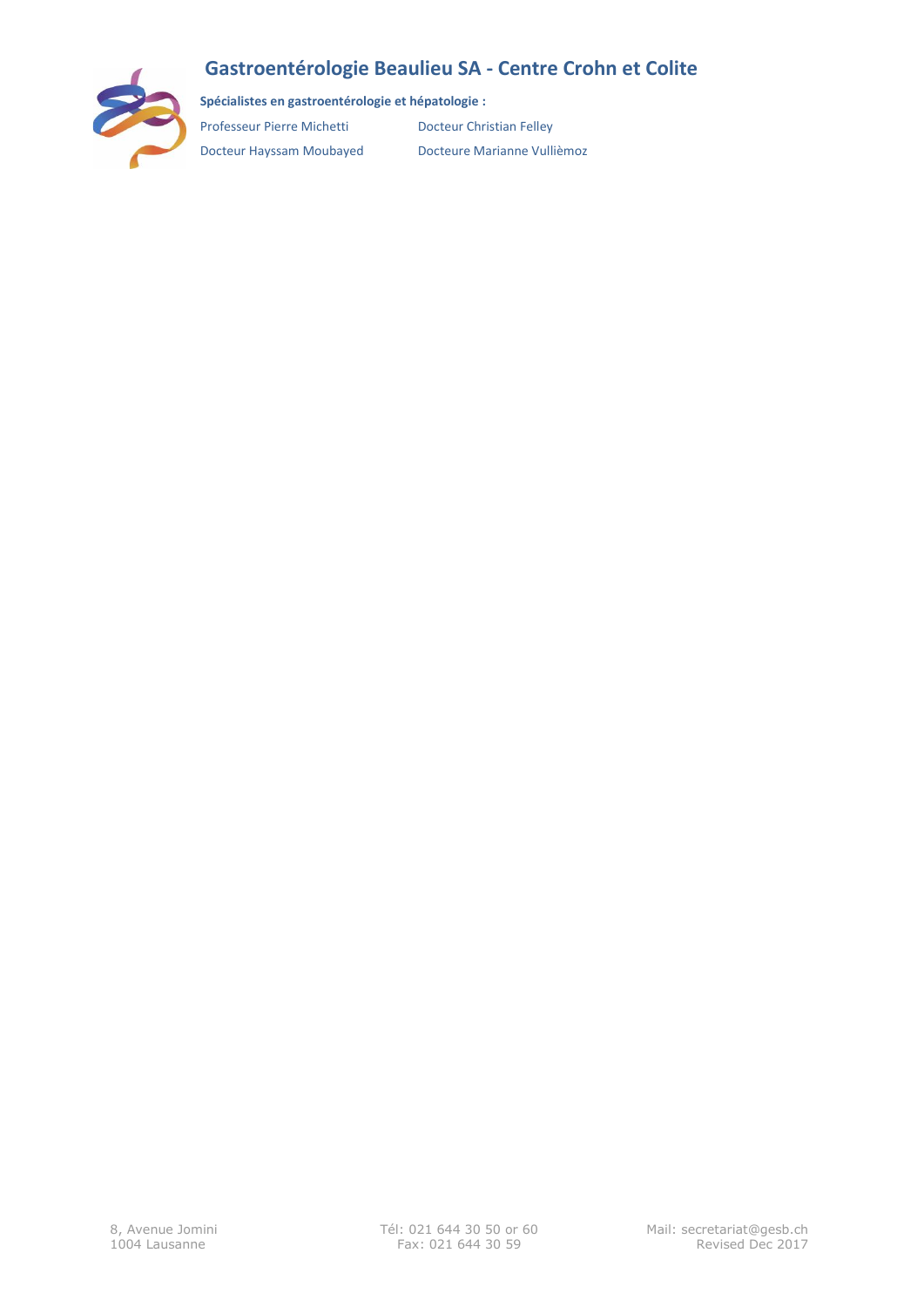## **Gastroentérologie Beaulieu SA - Centre Crohn et Colite**



**Spécialistes en gastroentérologie et hépatologie :**

Professeur Pierre Michetti Docteur Christian Felley

Docteur Hayssam Moubayed Docteure Marianne Vullièmoz